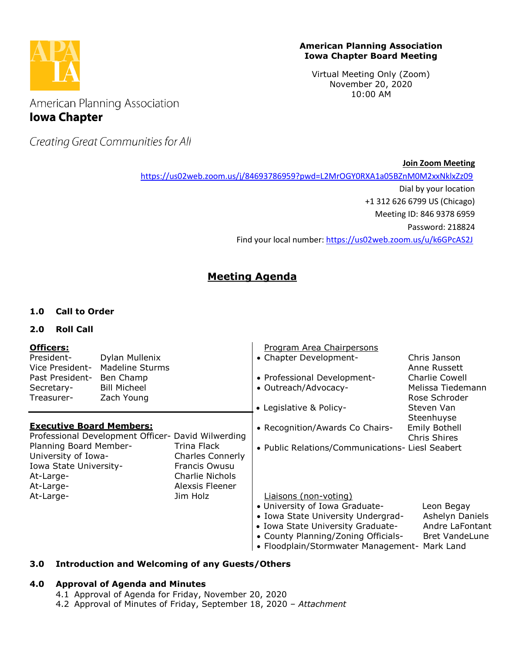

#### **American Planning Association Iowa Chapter Board Meeting**

Virtual Meeting Only (Zoom) November 20, 2020 10:00 AM

American Planning Association **Iowa Chapter** 

Creating Great Communities for All

**Join Zoom Meeting**

<https://us02web.zoom.us/j/84693786959?pwd=L2MrOGY0RXA1a05BZnM0M2xxNklxZz09>

Dial by your location

+1 312 626 6799 US (Chicago)

Meeting ID: 846 9378 6959

Password: 218824

Find your local number[: https://us02web.zoom.us/u/k6GPcAS2J](https://us02web.zoom.us/u/k6GPcAS2J)

# **Meeting Agenda**

## **1.0 Call to Order**

## **2.0 Roll Call**

| Officers:<br>President-<br>Vice President-<br>Past President-<br>Secretary-                       | Dylan Mullenix<br><b>Madeline Sturms</b><br>Ben Champ<br><b>Bill Micheel</b> |                                                                                                      | Program Area Chairpersons<br>• Chapter Development-<br>• Professional Development-<br>• Outreach/Advocacy-                                                                                                                 | Chris Janson<br>Anne Russett<br><b>Charlie Cowell</b><br>Melissa Tiedemann |
|---------------------------------------------------------------------------------------------------|------------------------------------------------------------------------------|------------------------------------------------------------------------------------------------------|----------------------------------------------------------------------------------------------------------------------------------------------------------------------------------------------------------------------------|----------------------------------------------------------------------------|
| Treasurer-                                                                                        | Zach Young                                                                   |                                                                                                      | • Legislative & Policy-                                                                                                                                                                                                    | Rose Schroder<br>Steven Van                                                |
| <b>Executive Board Members:</b><br>Professional Development Officer- David Wilwerding             |                                                                              |                                                                                                      | • Recognition/Awards Co Chairs-                                                                                                                                                                                            | Steenhuyse<br><b>Emily Bothell</b><br>Chris Shires                         |
| Planning Board Member-<br>University of Iowa-<br>Iowa State University-<br>At-Large-<br>At-Large- |                                                                              | Trina Flack<br><b>Charles Connerly</b><br>Francis Owusu<br><b>Charlie Nichols</b><br>Alexsis Fleener | • Public Relations/Communications- Liesl Seabert                                                                                                                                                                           |                                                                            |
| At-Large-                                                                                         |                                                                              | Jim Holz                                                                                             | Liaisons (non-voting)<br>• University of Iowa Graduate-<br>• Iowa State University Undergrad-<br>• Iowa State University Graduate-<br>• County Planning/Zoning Officials-<br>• Floodplain/Stormwater Management- Mark Land | Leon Begay<br>Ashelyn Daniels<br>Andre LaFontant<br><b>Bret VandeLune</b>  |

## **3.0 Introduction and Welcoming of any Guests/Others**

## **4.0 Approval of Agenda and Minutes**

- 4.1 Approval of Agenda for Friday, November 20, 2020
- 4.2 Approval of Minutes of Friday, September 18, 2020 *– Attachment*